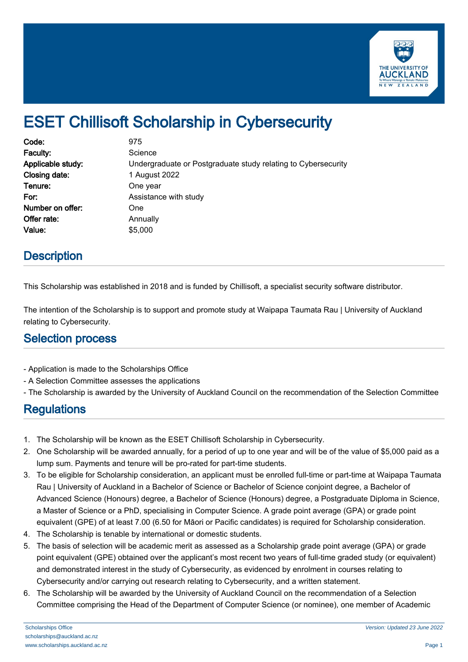

# ESET Chillisoft Scholarship in Cybersecurity

| Code:             | 975                                                           |
|-------------------|---------------------------------------------------------------|
| Faculty:          | Science                                                       |
| Applicable study: | Undergraduate or Postgraduate study relating to Cybersecurity |
| Closing date:     | 1 August 2022                                                 |
| Tenure:           | One year                                                      |
| For:              | Assistance with study                                         |
| Number on offer:  | One                                                           |
| Offer rate:       | Annually                                                      |
| Value:            | \$5,000                                                       |

### **Description**

This Scholarship was established in 2018 and is funded by Chillisoft, a specialist security software distributor.

The intention of the Scholarship is to support and promote study at Waipapa Taumata Rau | University of Auckland relating to Cybersecurity.

#### Selection process

- Application is made to the Scholarships Office
- A Selection Committee assesses the applications
- The Scholarship is awarded by the University of Auckland Council on the recommendation of the Selection Committee

## **Regulations**

- 1. The Scholarship will be known as the ESET Chillisoft Scholarship in Cybersecurity.
- 2. One Scholarship will be awarded annually, for a period of up to one year and will be of the value of \$5,000 paid as a lump sum. Payments and tenure will be pro-rated for part-time students.
- 3. To be eligible for Scholarship consideration, an applicant must be enrolled full-time or part-time at Waipapa Taumata Rau | University of Auckland in a Bachelor of Science or Bachelor of Science conjoint degree, a Bachelor of Advanced Science (Honours) degree, a Bachelor of Science (Honours) degree, a Postgraduate Diploma in Science, a Master of Science or a PhD, specialising in Computer Science. A grade point average (GPA) or grade point equivalent (GPE) of at least 7.00 (6.50 for Māori or Pacific candidates) is required for Scholarship consideration.
- 4. The Scholarship is tenable by international or domestic students.
- 5. The basis of selection will be academic merit as assessed as a Scholarship grade point average (GPA) or grade point equivalent (GPE) obtained over the applicant's most recent two years of full-time graded study (or equivalent) and demonstrated interest in the study of Cybersecurity, as evidenced by enrolment in courses relating to Cybersecurity and/or carrying out research relating to Cybersecurity, and a written statement.
- 6. The Scholarship will be awarded by the University of Auckland Council on the recommendation of a Selection Committee comprising the Head of the Department of Computer Science (or nominee), one member of Academic